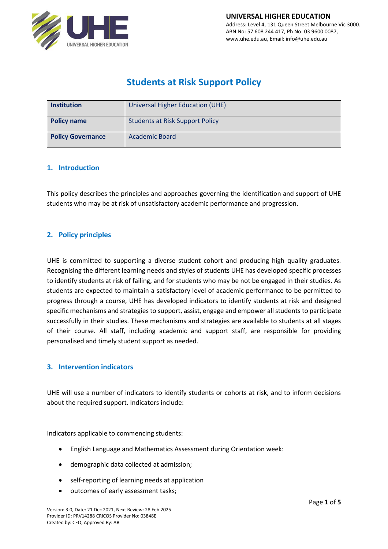

# **Students at Risk Support Policy**

| <b>Institution</b>       | Universal Higher Education (UHE)       |
|--------------------------|----------------------------------------|
| <b>Policy name</b>       | <b>Students at Risk Support Policy</b> |
| <b>Policy Governance</b> | <b>Academic Board</b>                  |

#### **1. Introduction**

This policy describes the principles and approaches governing the identification and support of UHE students who may be at risk of unsatisfactory academic performance and progression.

#### **2. Policy principles**

UHE is committed to supporting a diverse student cohort and producing high quality graduates. Recognising the different learning needs and styles of students UHE has developed specific processes to identify students at risk of failing, and for students who may be not be engaged in their studies. As students are expected to maintain a satisfactory level of academic performance to be permitted to progress through a course, UHE has developed indicators to identify students at risk and designed specific mechanisms and strategies to support, assist, engage and empower all students to participate successfully in their studies. These mechanisms and strategies are available to students at all stages of their course. All staff, including academic and support staff, are responsible for providing personalised and timely student support as needed.

#### **3. Intervention indicators**

UHE will use a number of indicators to identify students or cohorts at risk, and to inform decisions about the required support. Indicators include:

Indicators applicable to commencing students:

- English Language and Mathematics Assessment during Orientation week:
- demographic data collected at admission;
- self-reporting of learning needs at application
- outcomes of early assessment tasks;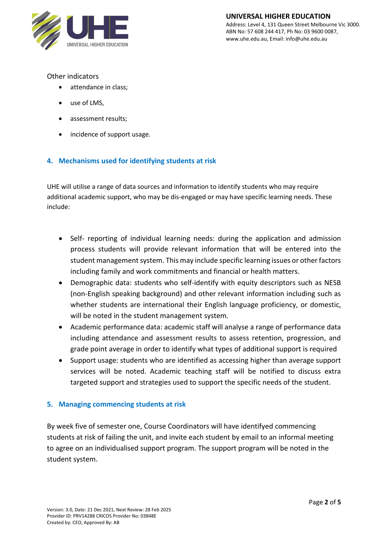

Other indicators

- attendance in class;
- use of LMS,
- assessment results;
- incidence of support usage.

# **4. Mechanisms used for identifying students at risk**

UHE will utilise a range of data sources and information to identify students who may require additional academic support, who may be dis-engaged or may have specific learning needs. These include:

- Self- reporting of individual learning needs: during the application and admission process students will provide relevant information that will be entered into the student management system. This may include specific learning issues or other factors including family and work commitments and financial or health matters.
- Demographic data: students who self-identify with equity descriptors such as NESB (non-English speaking background) and other relevant information including such as whether students are international their English language proficiency, or domestic, will be noted in the student management system.
- Academic performance data: academic staff will analyse a range of performance data including attendance and assessment results to assess retention, progression, and grade point average in order to identify what types of additional support is required
- Support usage: students who are identified as accessing higher than average support services will be noted. Academic teaching staff will be notified to discuss extra targeted support and strategies used to support the specific needs of the student.

#### **5. Managing commencing students at risk**

By week five of semester one, Course Coordinators will have identifyed commencing students at risk of failing the unit, and invite each student by email to an informal meeting to agree on an individualised support program. The support program will be noted in the student system.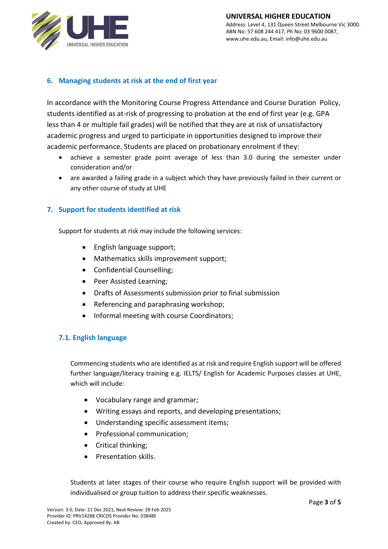

## **6. Managing students at risk at the end of first year**

In accordance with the Monitoring Course Progress Attendance and Course Duration Policy, students identified as at-risk of progressing to probation at the end of first year (e.g. GPA less than 4 or multiple fail grades) will be notified that they are at risk of unsatisfactory academic progress and urged to participate in opportunities designed to improve their academic performance. Students are placed on probationary enrolment if they:

- achieve a semester grade point average of less than 3.0 during the semester under consideration and/or
- are awarded a failing grade in a subject which they have previously failed in their current or any other course of study at UHE

### **7. Support for students identified at risk**

Support for students at risk may include the following services:

- English language support;
- Mathematics skills improvement support;
- Confidential Counselling;
- Peer Assisted Learning;
- Drafts of Assessments submission prior to final submission
- Referencing and paraphrasing workshop;
- Informal meeting with course Coordinators;

#### **7.1. English language**

Commencing students who are identified as at risk and require English support will be offered further language/literacy training e.g. IELTS/ English for Academic Purposes classes at UHE, which will include:

- Vocabulary range and grammar;
- Writing essays and reports, and developing presentations;
- Understanding specific assessment items;
- Professional communication;
- Critical thinking;
- Presentation skills.

Students at later stages of their course who require English support will be provided with individualised or group tuition to address their specific weaknesses.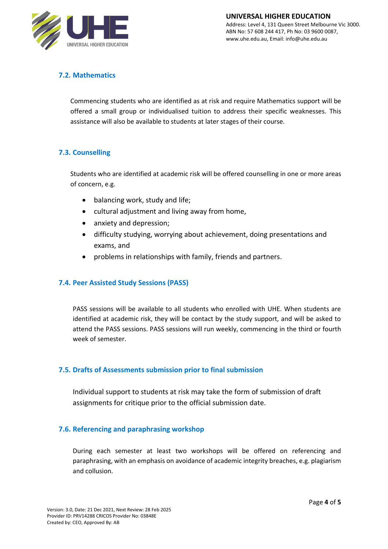

# **7.2. Mathematics**

Commencing students who are identified as at risk and require Mathematics support will be offered a small group or individualised tuition to address their specific weaknesses. This assistance will also be available to students at later stages of their course.

# **7.3. Counselling**

Students who are identified at academic risk will be offered counselling in one or more areas of concern, e.g.

- balancing work, study and life;
- cultural adjustment and living away from home,
- anxiety and depression;
- difficulty studying, worrying about achievement, doing presentations and exams, and
- problems in relationships with family, friends and partners.

#### **7.4. Peer Assisted Study Sessions (PASS)**

PASS sessions will be available to all students who enrolled with UHE. When students are identified at academic risk, they will be contact by the study support, and will be asked to attend the PASS sessions. PASS sessions will run weekly, commencing in the third or fourth week of semester.

#### **7.5. Drafts of Assessments submission prior to final submission**

Individual support to students at risk may take the form of submission of draft assignments for critique prior to the official submission date.

#### **7.6. Referencing and paraphrasing workshop**

During each semester at least two workshops will be offered on referencing and paraphrasing, with an emphasis on avoidance of academic integrity breaches, e.g. plagiarism and collusion.